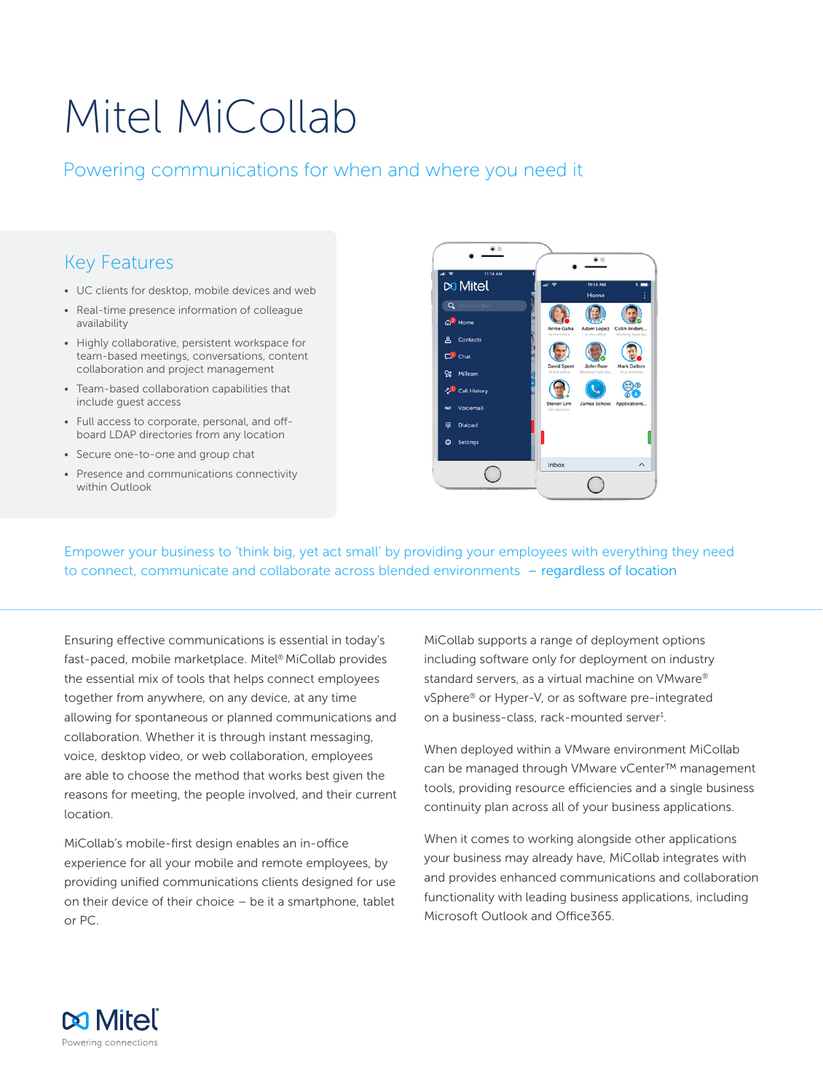# Mitel MiCollab

## Powering communications for when and where you need it

## Key Features

- UC clients for desktop, mobile devices and web
- Real-time presence information of colleague availability
- Highly collaborative, persistent workspace for team-based meetings, conversations, content collaboration and project management
- Team-based collaboration capabilities that include guest access
- Full access to corporate, personal, and offboard LDAP directories from any location
- Secure one-to-one and group chat
- Presence and communications connectivity within Outlook



Empower your business to 'think big, yet act small' by providing your employees with everything they need to connect, communicate and collaborate across blended environments – regardless of location

Ensuring effective communications is essential in today's fast-paced, mobile marketplace. Mitel® MiCollab provides the essential mix of tools that helps connect employees together from anywhere, on any device, at any time allowing for spontaneous or planned communications and collaboration. Whether it is through instant messaging, voice, desktop video, or web collaboration, employees are able to choose the method that works best given the reasons for meeting, the people involved, and their current location.

MiCollab's mobile-first design enables an in-office experience for all your mobile and remote employees, by providing unified communications clients designed for use on their device of their choice – be it a smartphone, tablet or PC.

MiCollab supports a range of deployment options including software only for deployment on industry standard servers, as a virtual machine on VMware® vSphere® or Hyper-V, or as software pre-integrated on a business-class, rack-mounted server<sup>1</sup>.

When deployed within a VMware environment MiCollab can be managed through VMware vCenter™ management tools, providing resource efficiencies and a single business continuity plan across all of your business applications.

When it comes to working alongside other applications your business may already have, MiCollab integrates with and provides enhanced communications and collaboration functionality with leading business applications, including Microsoft Outlook and Office365.